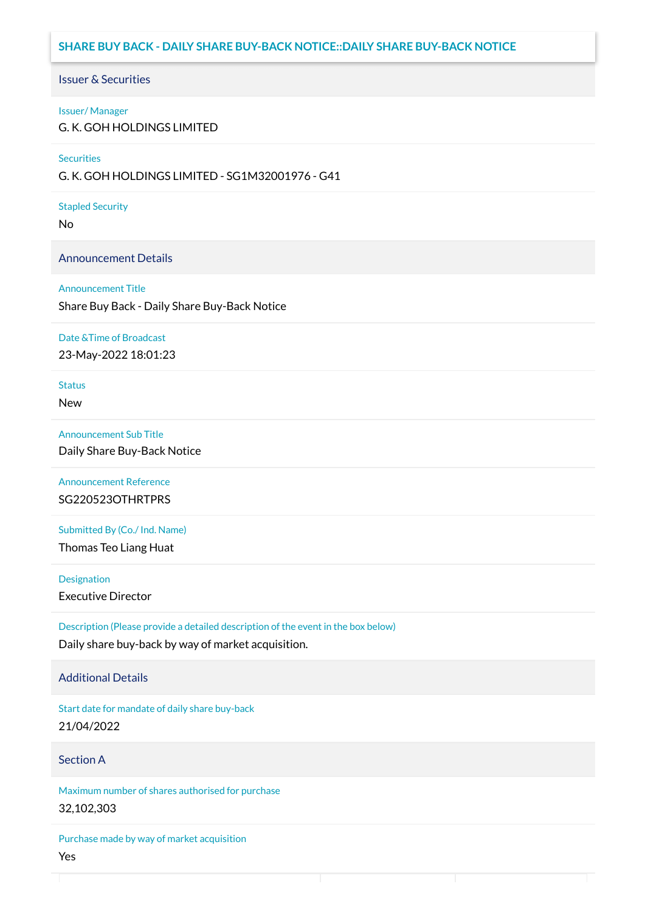# **SHARE BUY BACK - DAILY SHARE BUY-BACK NOTICE::DAILY SHARE BUY-BACK NOTICE**

### Issuer & Securities

#### Issuer/ Manager

G. K. GOH HOLDINGS LIMITED

#### **Securities**

G. K. GOH HOLDINGS LIMITED - SG1M32001976 - G41

#### Stapled Security

No

### Announcement Details

#### Announcement Title

Share Buy Back - Daily Share Buy-Back Notice

#### Date &Time of Broadcast

23-May-2022 18:01:23

# Status

New

### Announcement Sub Title

Daily Share Buy-Back Notice

## Announcement Reference SG220523OTHRTPRS

Submitted By (Co./ Ind. Name)

Thomas Teo Liang Huat

**Designation** 

Executive Director

Description (Please provide a detailed description of the event in the box below) Daily share buy-back by way of market acquisition.

### Additional Details

Start date for mandate of daily share buy-back 21/04/2022

### Section A

Maximum number of shares authorised for purchase 32,102,303

Purchase made by way of market acquisition Yes